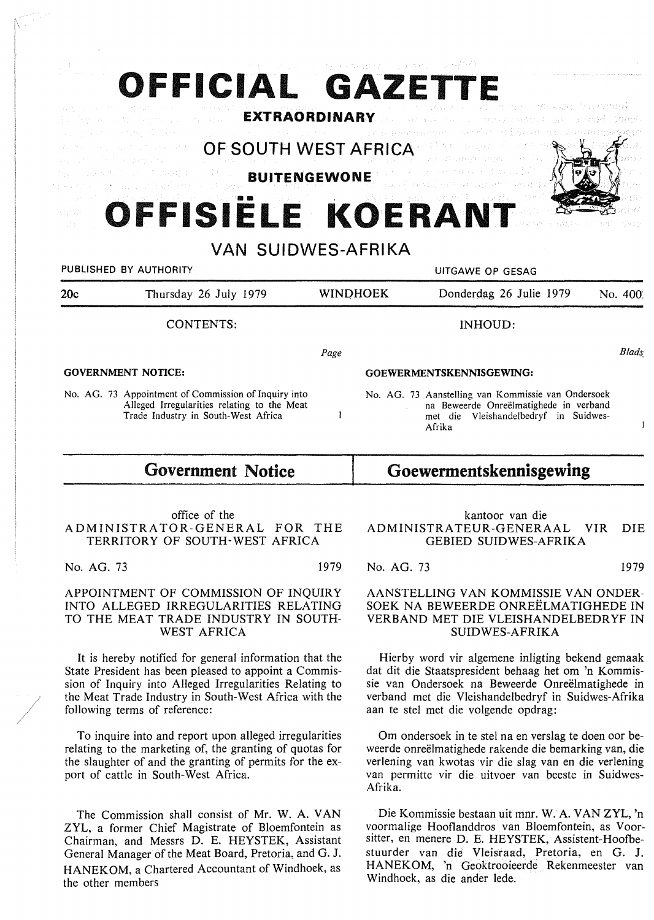# **OFFICIAL GAZETTE**

**EXTRAORDINARY** 

OF SOUTH WEST AFRICA

**BUITENGEWONE** 

## **OFFISIELE KOERANT**

VAN SUIDWES-AFRIKA PUBLISHED BY AUTHORITY **NAMEL SEE ASSESS** OF GESAG 20c Thursday 26 July 1979 WINOHOEK Donderdag 26 Julie 1979 No. 400: CONTENTS: INHOUD: *Blads, Page*  **GOVERNMENT NOTICE: GOEWERMENTSKENNISGEWING:**  No. AG. 73 Aanstelling van Kommissie van Ondersoek No. AG. 73 Appointment of Commission of Inquiry into Alleged Irregularities relating to the Meat na Beweerde Onreelmatighede in verband Trade Industry in South-West Africa  $\mathbf{I}$ met die Vleishandelbedryf in Suidwes- $\mathbf{1}$ Afrika

### **Government Notice**

office of the ADMINISTRATOR-GENERAL FOR THE TERRITORY OF SOUTH-WEST AFRICA

No. AG. 73 1979

APPOINTMENT OF COMMISSION OF INQUIRY INTO ALLEGED IRREGULARITIES RELATING TO THE MEAT TRADE INDUSTRY IN SOUTH-WEST AFRICA

It is hereby notified for general information that the State President has been pleased to appoint a Commission of Inquiry into Alleged Irregularities Relating to the Meat Trade Industry in South-West Africa with the following terms of reference:

To inquire into and report upon alleged irregularities relating to the marketing of, the granting of quotas for the slaughter of and the granting of permits for the export of cattle in South-West Africa.

The Commission shall consist of Mr. W. A. VAN ZYL, a former Chief Magistrate of Bloemfontein as Chairman, and Messrs D. E. HEYSTEK, Assistant General Manager of the Meat Board, Pretoria, and G. J. HANEK OM, a Chartered Accountant of Windhoek, as the other members

#### **Goewermentskennisgewing**

kantoor van die ADMINISTRATEUR-GENERAAL VIR DIE GEBIED SUIDWES-AFRIKA

No. AG. 73 1979

#### AANSTELLING VAN KOMMISSIE VAN ONDER-SOEK NA BEWEERDE ONREELMATIGHEDE IN VERBAND MET DIE VLEISHANDELBEDRYF IN SUIDWES-AFRIKA

Hierby word vir algemene inligting bekend gemaak dat dit die Staatspresident behaag het om 'n Kommissie van Ondersoek na Beweerde Onreelmatighede in verband met die Vleishandelbedryf in Suidwes-Afrika aan te stel met die volgende opdrag:

Om ondersoek in te stel na en verslag te doen oor beweerde onreëlmatighede rakende die bemarking van, die verlening van kwotas vir die slag van en die verlening van permitte vir die uitvoer van beeste in Suidwes-Afrika.

Die Kommissie bestaan uit mnr. W. A. VANZYL, 'n voormalige Hooflanddros van Bloemfontein, as Voorsitter, en menere D. E. HEYSTEK, Assistent-Hoofbestuurder van die Vleisraad, Pretoria, en G. J. HANEKOM, 'n Geoktrooieerde Rekenmeester van Windhoek, as die ander lede.